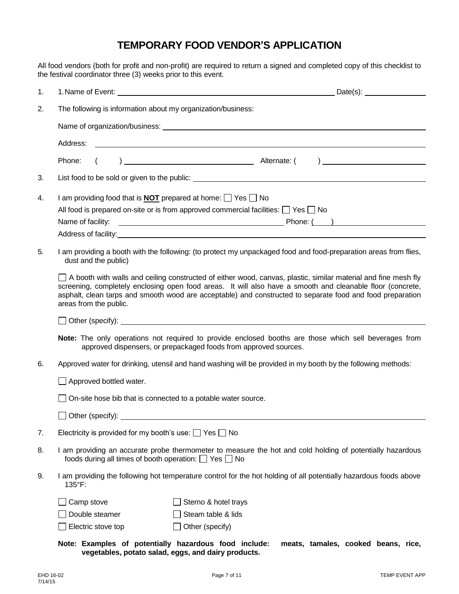## **TEMPORARY FOOD VENDOR'S APPLICATION**

All food vendors (both for profit and non-profit) are required to return a signed and completed copy of this checklist to the festival coordinator three (3) weeks prior to this event.

| 1. |                                                                                                                                                                                                                                                                                                                                                                      |                                                                                                              | Date(s):                                                                                                                                                                                                                       |  |
|----|----------------------------------------------------------------------------------------------------------------------------------------------------------------------------------------------------------------------------------------------------------------------------------------------------------------------------------------------------------------------|--------------------------------------------------------------------------------------------------------------|--------------------------------------------------------------------------------------------------------------------------------------------------------------------------------------------------------------------------------|--|
| 2. | The following is information about my organization/business:                                                                                                                                                                                                                                                                                                         |                                                                                                              |                                                                                                                                                                                                                                |  |
|    |                                                                                                                                                                                                                                                                                                                                                                      |                                                                                                              |                                                                                                                                                                                                                                |  |
|    | Address:                                                                                                                                                                                                                                                                                                                                                             | <u> 1989 - Johann Barbara, martin amerikan basar da</u>                                                      |                                                                                                                                                                                                                                |  |
|    | Phone:                                                                                                                                                                                                                                                                                                                                                               |                                                                                                              |                                                                                                                                                                                                                                |  |
| 3. |                                                                                                                                                                                                                                                                                                                                                                      |                                                                                                              |                                                                                                                                                                                                                                |  |
| 4. | I am providing food that is <b>NOT</b> prepared at home: $\Box$ Yes $\Box$ No                                                                                                                                                                                                                                                                                        |                                                                                                              |                                                                                                                                                                                                                                |  |
|    | All food is prepared on-site or is from approved commercial facilities: $\Box$ Yes $\Box$ No                                                                                                                                                                                                                                                                         |                                                                                                              |                                                                                                                                                                                                                                |  |
|    | Name of facility:                                                                                                                                                                                                                                                                                                                                                    |                                                                                                              |                                                                                                                                                                                                                                |  |
|    |                                                                                                                                                                                                                                                                                                                                                                      |                                                                                                              | Address of facility: A state of the state of the state of the state of the state of the state of the state of the state of the state of the state of the state of the state of the state of the state of the state of the stat |  |
| 5. | I am providing a booth with the following: (to protect my unpackaged food and food-preparation areas from flies,<br>dust and the public)                                                                                                                                                                                                                             |                                                                                                              |                                                                                                                                                                                                                                |  |
|    | A booth with walls and ceiling constructed of either wood, canvas, plastic, similar material and fine mesh fly<br>screening, completely enclosing open food areas. It will also have a smooth and cleanable floor (concrete,<br>asphalt, clean tarps and smooth wood are acceptable) and constructed to separate food and food preparation<br>areas from the public. |                                                                                                              |                                                                                                                                                                                                                                |  |
|    |                                                                                                                                                                                                                                                                                                                                                                      |                                                                                                              |                                                                                                                                                                                                                                |  |
|    | Note: The only operations not required to provide enclosed booths are those which sell beverages from<br>approved dispensers, or prepackaged foods from approved sources.                                                                                                                                                                                            |                                                                                                              |                                                                                                                                                                                                                                |  |
| 6. | Approved water for drinking, utensil and hand washing will be provided in my booth by the following methods:                                                                                                                                                                                                                                                         |                                                                                                              |                                                                                                                                                                                                                                |  |
|    | $\Box$ Approved bottled water.                                                                                                                                                                                                                                                                                                                                       |                                                                                                              |                                                                                                                                                                                                                                |  |
|    | $\Box$ On-site hose bib that is connected to a potable water source.                                                                                                                                                                                                                                                                                                 |                                                                                                              |                                                                                                                                                                                                                                |  |
|    |                                                                                                                                                                                                                                                                                                                                                                      |                                                                                                              |                                                                                                                                                                                                                                |  |
| 7. | Electricity is provided for my booth's use: $\Box$ Yes $\Box$ No                                                                                                                                                                                                                                                                                                     |                                                                                                              |                                                                                                                                                                                                                                |  |
| 8. | I am providing an accurate probe thermometer to measure the hot and cold holding of potentially hazardous<br>foods during all times of booth operation: $\Box$ Yes $\Box$ No                                                                                                                                                                                         |                                                                                                              |                                                                                                                                                                                                                                |  |
| 9. | I am providing the following hot temperature control for the hot holding of all potentially hazardous foods above<br>135°F:                                                                                                                                                                                                                                          |                                                                                                              |                                                                                                                                                                                                                                |  |
|    | Camp stove                                                                                                                                                                                                                                                                                                                                                           | Sterno & hotel trays                                                                                         |                                                                                                                                                                                                                                |  |
|    | Double steamer                                                                                                                                                                                                                                                                                                                                                       | Steam table & lids                                                                                           |                                                                                                                                                                                                                                |  |
|    | Electric stove top                                                                                                                                                                                                                                                                                                                                                   | Other (specify)                                                                                              |                                                                                                                                                                                                                                |  |
|    |                                                                                                                                                                                                                                                                                                                                                                      | Note: Examples of potentially hazardous food include:<br>vegetables, potato salad, eggs, and dairy products. | meats, tamales, cooked beans, rice,                                                                                                                                                                                            |  |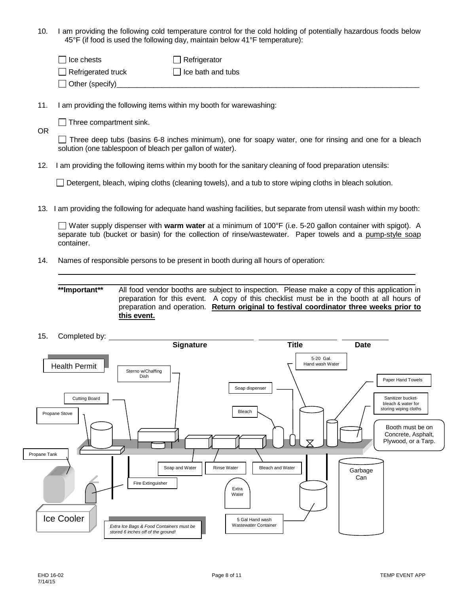10. I am providing the following cold temperature control for the cold holding of potentially hazardous foods below 45°F (if food is used the following day, maintain below 41°F temperature):

| $\Box$ Ice chests         | $\Box$ Refrigerator      |
|---------------------------|--------------------------|
| $\Box$ Refrigerated truck | $\Box$ Ice bath and tubs |
| $\Box$ Other (specify)    |                          |

11. I am providing the following items within my booth for warewashing:

 $\Box$  Three compartment sink.

OR

 $\Box$  Three deep tubs (basins 6-8 inches minimum), one for soapy water, one for rinsing and one for a bleach solution (one tablespoon of bleach per gallon of water).

12. I am providing the following items within my booth for the sanitary cleaning of food preparation utensils:

Detergent, bleach, wiping cloths (cleaning towels), and a tub to store wiping cloths in bleach solution.

13. I am providing the following for adequate hand washing facilities, but separate from utensil wash within my booth:

Water supply dispenser with **warm water** at a minimum of 100°F (i.e. 5-20 gallon container with spigot). A separate tub (bucket or basin) for the collection of rinse/wastewater. Paper towels and a pump-style soap container.

14. Names of responsible persons to be present in booth during all hours of operation:

**\*\*Important\*\*** All food vendor booths are subject to inspection. Please make a copy of this application in preparation for this event. A copy of this checklist must be in the booth at all hours of preparation and operation. **Return original to festival coordinator three weeks prior to this event.**